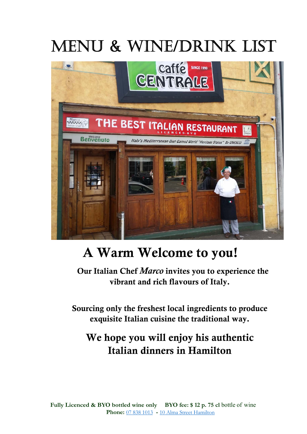# MENU & WINE/DRINK LIST



# **A Warm Welcome to you!**

 **Our Italian Chef** *Marco* **invites you to experience the vibrant and rich flavours of Italy.** 

**Sourcing only the freshest local ingredients to produce exquisite Italian cuisine the traditional way.**

# **We hope you will enjoy his authentic Italian dinners in Hamilton**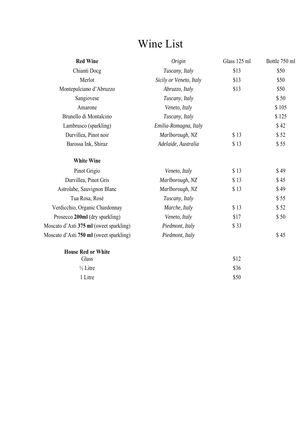# Wine List

| <b>Red Wine</b>                         | Origin                  | Glass 125 ml | Bottle 750 ml |
|-----------------------------------------|-------------------------|--------------|---------------|
| Chianti Docg                            | Tuscany, Italy          | \$13         | \$50          |
| Merlot                                  | Sicily or Veneto, Italy | \$13         | \$50          |
| Montepulciano d'Abruzzo                 | Abruzzo, Italy          | \$13         | \$50          |
| Sangiovese                              | Tuscany, Italy          |              | \$50          |
| Amarone                                 | Veneto, Italy           |              | \$105         |
| Brunello di Montalcino                  | Tuscany, Italy          |              | \$125         |
| Lambrusco (sparkling)                   | Emilia-Romagna, Italy   |              | \$42          |
| Durvillea, Pinot noir                   | Marlborough, NZ         | \$13         | \$52          |
| Barossa Ink, Shiraz                     | Adelaide, Australia     | \$13         | \$55          |
| <b>White Wine</b>                       |                         |              |               |
| Pinot Grigio                            | Veneto, Italy           | \$13         | \$49          |
| Durvillea, Pinot Gris                   | Marlborough, NZ         | \$13         | \$45          |
| Astrolabe, Sauvignon Blanc              | Marlborough, NZ         | \$13         | \$49          |
| Tua Rosa, Rosé                          | Tuscany, Italy          |              | \$55          |
| Verdicchio, Organic Chardonnay          | Marche, Italy           | \$13         | \$52          |
| Prosecco 200ml (dry sparkling)          | Veneto, Italy           | \$17         | \$50          |
| Moscato d'Asti 375 ml (sweet sparkling) | Piedmont, Italy         | \$33         |               |
| Moscato d'Asti 750 ml (sweet sparkling) | Piedmont, Italy         |              | \$45          |
| <b>House Red or White</b>               |                         |              |               |
| Glass                                   |                         | \$12         |               |
| 1/2 Litre                               |                         | \$36         |               |

1 Litre \$50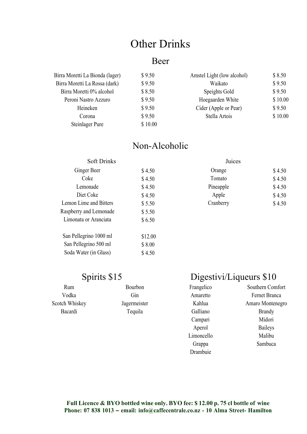### Other Drinks

#### Beer

| Birra Moretti La Bionda (lager) | \$9.50  | Amstel Light (low alcohol) | \$8.50  |
|---------------------------------|---------|----------------------------|---------|
| Birra Moretti La Rossa (dark)   | \$9.50  | Waikato                    | \$9.50  |
| Birra Moretti 0% alcohol        | \$8.50  | Speights Gold              | \$9.50  |
| Peroni Nastro Azzuro            | \$9.50  | Hoegaarden White           | \$10.00 |
| Heineken                        | \$9.50  | Cider (Apple or Pear)      | \$9.50  |
| Corona                          | \$9.50  | Stella Artois              | \$10.00 |
| Steinlager Pure                 | \$10.00 |                            |         |

#### Non-Alcoholic

|         | Juices    |        |
|---------|-----------|--------|
| \$4.50  | Orange    | \$4.50 |
| \$4.50  | Tomato    | \$4.50 |
| \$4.50  | Pineapple | \$4.50 |
| \$4.50  | Apple     | \$4.50 |
| \$5.50  | Cranberry | \$4.50 |
| \$5.50  |           |        |
| \$6.50  |           |        |
| \$12.00 |           |        |
| \$8.00  |           |        |
| \$4.50  |           |        |
|         |           |        |

#### Spirits \$15 Digestivi/Liqueurs \$10

| Rum            | Bourbon      | Frangelico | Southern Comfort |
|----------------|--------------|------------|------------------|
| Vodka          | Gin          | Amaretto   | Fernet Branca    |
| Scotch Whiskey | Jagermeister | Kahlua     | Amaro Montenegro |
| Bacardi        | Tequila      | Galliano   | <b>Brandy</b>    |
|                |              | Campari    | Midori           |

Aperol Baileys

Grappa Sambuca

Drambuie

Limoncello Malibu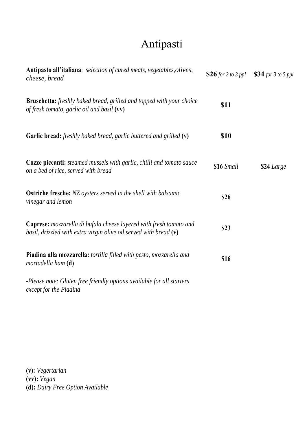# Antipasti

| Antipasto all'italiana: selection of cured meats, vegetables, olives,<br>cheese, bread                                                    | \$26 for 2 to 3 ppl $$34$ for 3 to 5 ppl |            |
|-------------------------------------------------------------------------------------------------------------------------------------------|------------------------------------------|------------|
| Bruschetta: freshly baked bread, grilled and topped with your choice<br>of fresh tomato, garlic oil and basil (vv)                        | \$11                                     |            |
| <b>Garlic bread:</b> freshly baked bread, garlic buttered and grilled (v)                                                                 | \$10                                     |            |
| <b>Cozze piccanti:</b> steamed mussels with garlic, chilli and tomato sauce<br>on a bed of rice, served with bread                        | \$16 Small                               | \$24 Large |
| <b>Ostriche fresche:</b> NZ oysters served in the shell with balsamic<br>vinegar and lemon                                                | \$26                                     |            |
| Caprese: mozzarella di bufala cheese layered with fresh tomato and<br>basil, drizzled with extra virgin olive oil served with bread $(v)$ | \$23                                     |            |
| Piadina alla mozzarella: tortilla filled with pesto, mozzarella and<br>mortadella ham (d)                                                 | \$16                                     |            |
| -Please note: Gluten free friendly options available for all starters<br>except for the Piadina                                           |                                          |            |

**(v):** *Vegertarian*  **(vv):** *Vegan*  **(d):** *Dairy Free Option Available*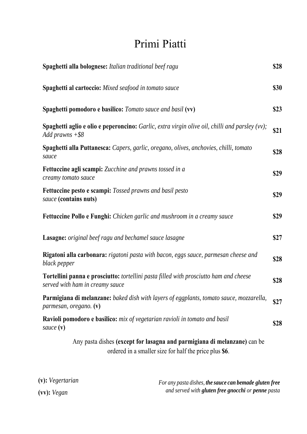# Primi Piatti

| Spaghetti alla bolognese: Italian traditional beef ragu                                                                            | \$28        |
|------------------------------------------------------------------------------------------------------------------------------------|-------------|
| <b>Spaghetti al cartoccio:</b> Mixed seafood in tomato sauce                                                                       | <b>\$30</b> |
| <b>Spaghetti pomodoro e basilico:</b> Tomato sauce and basil (vv)                                                                  | \$23        |
| Spaghetti aglio e olio e peperoncino: Garlic, extra virgin olive oil, chilli and parsley (vv);<br>Add prawns $+$ \$8               | \$21        |
| Spaghetti alla Puttanesca: Capers, garlic, oregano, olives, anchovies, chilli, tomato<br>sauce                                     | \$28        |
| Fettuccine agli scampi: Zucchine and prawns tossed in a<br>creamy tomato sauce                                                     | \$29        |
| <b>Fettuccine pesto e scampi:</b> Tossed prawns and basil pesto<br>sauce (contains nuts)                                           | \$29        |
| <b>Fettuccine Pollo e Funghi:</b> Chicken garlic and mushroom in a creamy sauce                                                    | \$29        |
| <b>Lasagne:</b> original beef ragu and bechamel sauce lasagne                                                                      | \$27        |
| Rigatoni alla carbonara: rigatoni pasta with bacon, eggs sauce, parmesan cheese and<br>black pepper                                | \$28        |
| <b>Tortellini panna e prosciutto:</b> tortellini pasta filled with prosciutto ham and cheese<br>served with ham in creamy sauce    | \$28        |
| Parmigiana di melanzane: baked dish with layers of eggplants, tomato sauce, mozzarella,<br>parmesan, oregano. (v)                  | \$27        |
| <b>Ravioli pomodoro e basilico:</b> mix of vegetarian ravioli in tomato and basil<br>sauce (v)                                     | \$28        |
| Any pasta dishes (except for lasagna and parmigiana di melanzane) can be<br>ordered in a smaller size for half the price plus \$6. |             |

| (v): Vegertarian | For any pasta dishes, the sauce can bemade gluten free           |
|------------------|------------------------------------------------------------------|
| (vv): Vegan      | and served with <b>gluten free gnocchi</b> or <b>penne</b> pasta |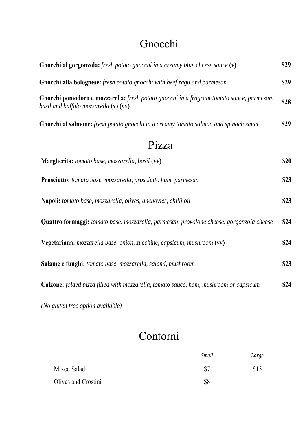# Gnocchi

| Gnocchi al gorgonzola: fresh potato gnocchi in a creamy blue cheese sauce (v)                                                      | \$29 |
|------------------------------------------------------------------------------------------------------------------------------------|------|
| Gnocchi alla bolognese: fresh potato gnocchi with beef ragu and parmesan                                                           | \$29 |
| Gnocchi pomodoro e mozzarella: fresh potato gnocchi in a fragrant tomato sauce, parmesan,<br>basil and buffalo mozzarella (v) (vv) | \$28 |
| <b>Gnocchi al salmone:</b> fresh potato gnocchi in a creamy tomato salmon and spinach sauce                                        | \$29 |
| Pizza                                                                                                                              |      |
| Margherita: tomato base, mozzarella, basil (vv)                                                                                    | \$20 |
| <b>Prosciutto:</b> tomato base, mozzarella, prosciutto ham, parmesan                                                               | \$23 |
| Napoli: tomato base, mozzarella, olives, anchovies, chilli oil                                                                     | \$23 |
| <b>Quattro formaggi:</b> tomato base, mozzarella, parmesan, provolone cheese, gorgonzola cheese                                    | \$24 |
| Vegetariana: mozzarella base, onion, zucchine, capsicum, mushroom (vv)                                                             | \$24 |
| Salame e funghi: tomato base, mozzarella, salami, mushroom                                                                         | \$23 |
| <b>Calzone:</b> folded pizza filled with mozzarella, tomato sauce, ham, mushroom or capsicum                                       | \$24 |
| (No gluten free option available)                                                                                                  |      |

Contorni

|                     | Small | Large |
|---------------------|-------|-------|
| Mixed Salad         | \$7   | \$13  |
| Olives and Crostini | \$8   |       |